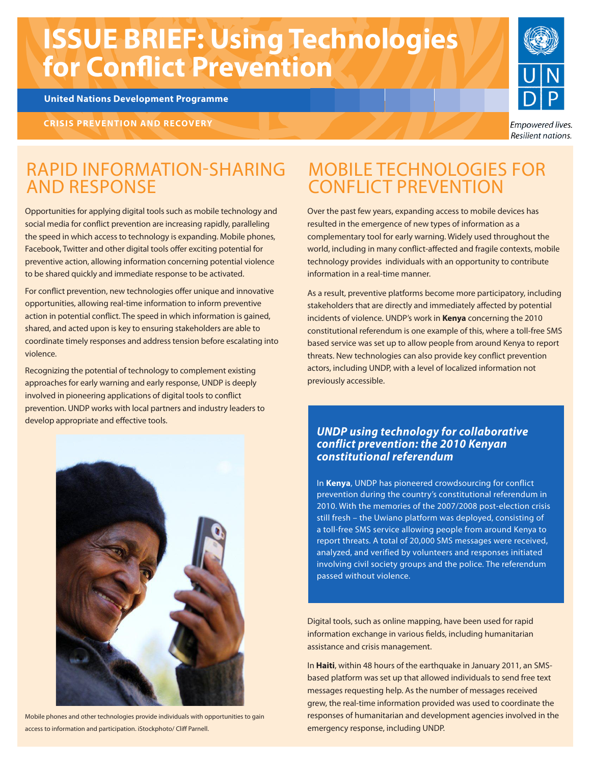# **ISSUE BRIEF: Using Technologies for Conflict Prevention**

**United Nations Development Programme**

**CRISIS PREVENTION AND RECOVERY** 



Empowered lives. **Resilient nations.** 

#### RAPID INFORMATION-SHARING AND RESPONSE

Opportunities for applying digital tools such as mobile technology and social media for conflict prevention are increasing rapidly, paralleling the speed in which access to technology is expanding. Mobile phones, Facebook, Twitter and other digital tools offer exciting potential for preventive action, allowing information concerning potential violence to be shared quickly and immediate response to be activated.

For conflict prevention, new technologies offer unique and innovative opportunities, allowing real-time information to inform preventive action in potential conflict. The speed in which information is gained, shared, and acted upon is key to ensuring stakeholders are able to coordinate timely responses and address tension before escalating into violence.

Recognizing the potential of technology to complement existing approaches for early warning and early response, UNDP is deeply involved in pioneering applications of digital tools to conflict prevention. UNDP works with local partners and industry leaders to develop appropriate and effective tools.

### MOBILE TECHNOLOGIES FOR CONFLICT PREVENTION

Over the past few years, expanding access to mobile devices has resulted in the emergence of new types of information as a complementary tool for early warning. Widely used throughout the world, including in many conflict-affected and fragile contexts, mobile technology provides individuals with an opportunity to contribute information in a real-time manner.

As a result, preventive platforms become more participatory, including stakeholders that are directly and immediately affected by potential incidents of violence. UNDP's work in **Kenya** concerning the 2010 constitutional referendum is one example of this, where a toll-free SMS based service was set up to allow people from around Kenya to report threats. New technologies can also provide key conflict prevention actors, including UNDP, with a level of localized information not previously accessible.

#### *UNDP using technology for collaborative conflict prevention: the 2010 Kenyan constitutional referendum*

In **Kenya**, UNDP has pioneered crowdsourcing for conflict prevention during the country's constitutional referendum in 2010. With the memories of the 2007/2008 post-election crisis still fresh – the Uwiano platform was deployed, consisting of a toll-free SMS service allowing people from around Kenya to report threats. A total of 20,000 SMS messages were received, analyzed, and verified by volunteers and responses initiated involving civil society groups and the police. The referendum passed without violence.

Digital tools, such as online mapping, have been used for rapid information exchange in various fields, including humanitarian assistance and crisis management.

In **Haiti**, within 48 hours of the earthquake in January 2011, an SMSbased platform was set up that allowed individuals to send free text messages requesting help. As the number of messages received grew, the real-time information provided was used to coordinate the responses of humanitarian and development agencies involved in the emergency response, including UNDP.



Mobile phones and other technologies provide individuals with opportunities to gain access to information and participation. iStockphoto/ Cliff Parnell.